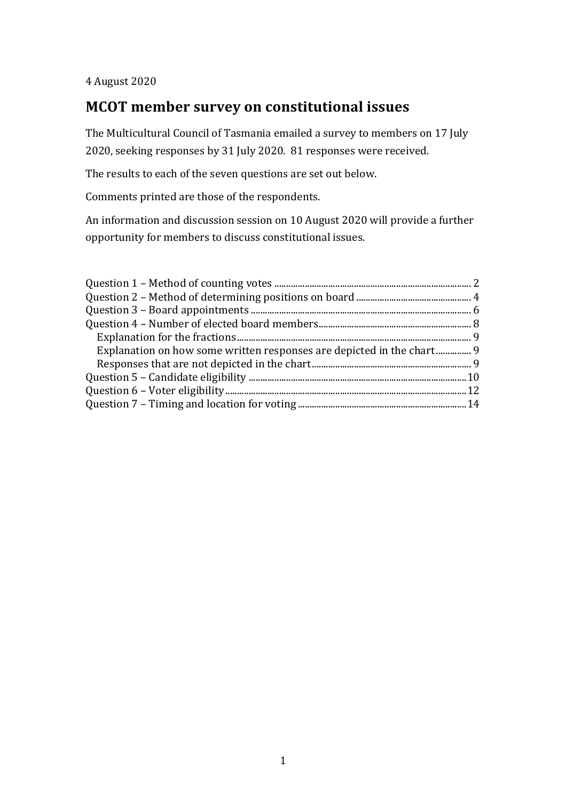4 August 2020

## **MCOT member survey on constitutional issues**

The Multicultural Council of Tasmania emailed a survey to members on 17 July 2020, seeking responses by 31 July 2020. 81 responses were received.

The results to each of the seven questions are set out below.

Comments printed are those of the respondents.

An information and discussion session on 10 August 2020 will provide a further opportunity for members to discuss constitutional issues.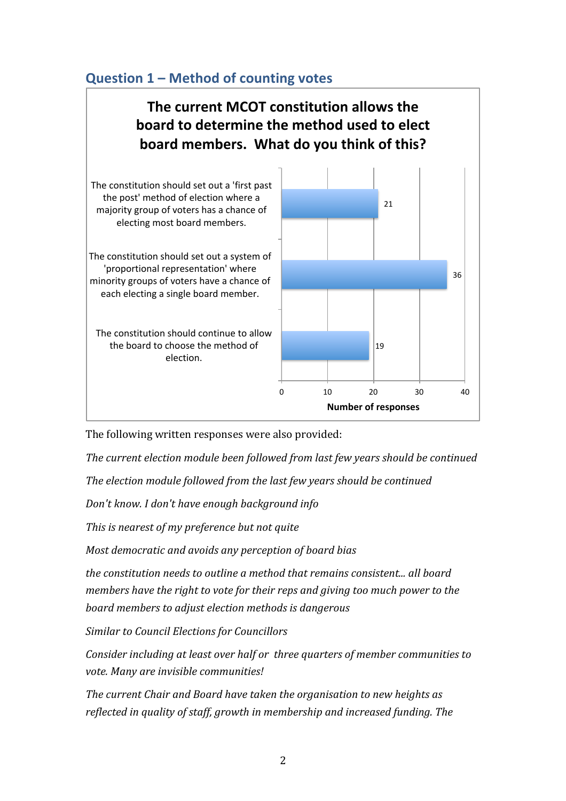### **Question 1 – Method of counting votes**

**The current MCOT constitution allows the board to determine the method used to elect board members. What do you think of this?** 

The constitution should set out a 'first past the post' method of election where a majority group of voters has a chance of electing most board members.

The constitution should set out a system of 'proportional representation' where minority groups of voters have a chance of each electing a single board member.

The constitution should continue to allow the board to choose the method of election. 



The following written responses were also provided:

The current election module been followed from last few years should be continued

The election module followed from the last few years should be continued

*Don't know.* I don't have enough background info

This is nearest of my preference but not quite

*Most democratic and avoids any perception of board bias* 

*the constitution needs to outline a method that remains consistent... all board members have the right to vote for their reps and giving too much power to the board members to adjust election methods is dangerous* 

**Similar to Council Elections for Councillors** 

*Consider including at least over half or three quarters of member communities to vote. Many are invisible communities!* 

*The current Chair and Board have taken the organisation to new heights as reflected* in quality of staff, growth in membership and increased funding. The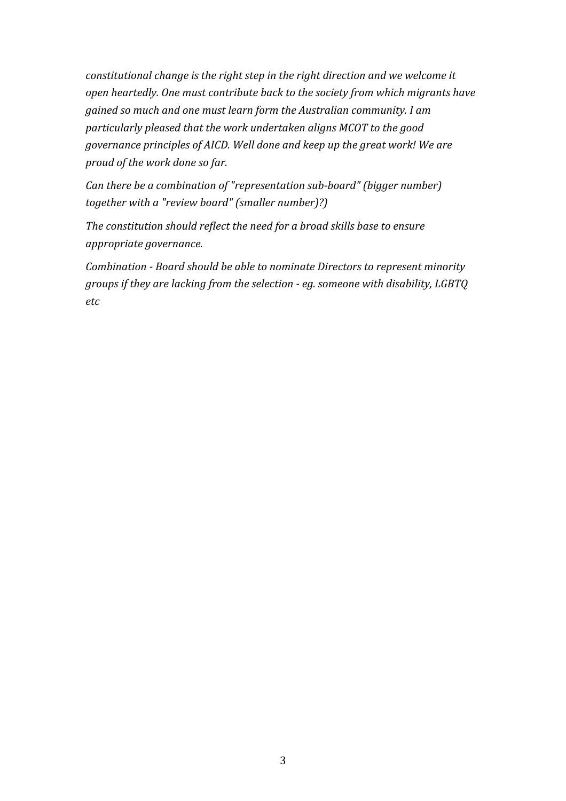*constitutional change is the right step in the right direction and we welcome it* open heartedly. One must contribute back to the society from which migrants have gained so much and one must learn form the Australian community. I am particularly pleased that the work undertaken aligns MCOT to the good *governance principles of AICD. Well done and keep up the great work! We are proud of the work done so far.* 

*Can there be a combination of "representation sub-board"* (*bigger number*) together with a "review board" (smaller number)?)

The constitution should reflect the need for a broad skills base to ensure *appropriate governance.*

*Combination* - *Board should be able to nominate Directors to represent minority groups* if they are lacking from the selection - eg. someone with disability, LGBTQ *etc*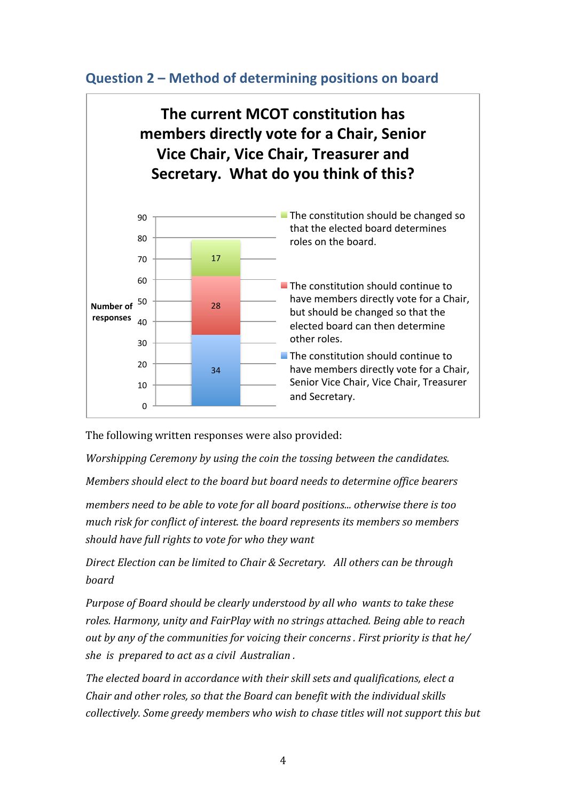### **Question 2 – Method of determining positions on board**

# **The current MCOT constitution has members directly vote for a Chair, Senior Vice Chair, Vice Chair, Treasurer and Secretary.** What do you think of this?



The following written responses were also provided:

*Worshipping Ceremony by using the coin the tossing between the candidates.* 

*Members should elect to the board but board needs to determine office bearers* 

*members need to be able to vote for all board positions... otherwise there is too much risk for conflict of interest. the board represents its members so members should have full rights to vote for who they want*

*Direct Election can be limited to Chair & Secretary. All others can be through board*

*Purpose of Board should be clearly understood by all who wants to take these* roles. Harmony, unity and FairPlay with no strings attached. Being able to reach *out by any of the communities for voicing their concerns. First priority is that he/* she is prepared to act as a civil Australian.

The elected board in accordance with their skill sets and qualifications, elect a *Chair and other roles, so that the Board can benefit with the individual skills collectively.* Some areedy members who wish to chase titles will not support this but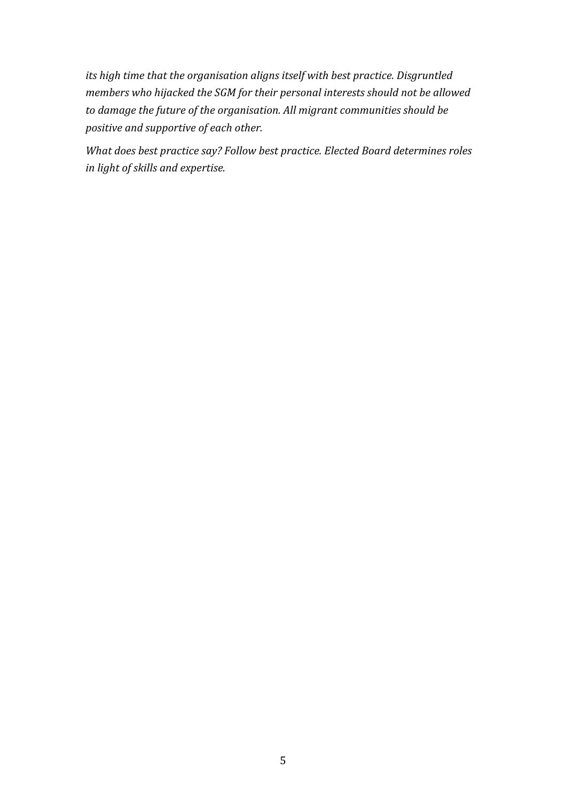*its* high time that the organisation aligns itself with best practice. Disgruntled *members* who hijacked the SGM for their personal interests should not be allowed to damage the future of the organisation. All migrant communities should be *positive and supportive of each other.* 

*What does best practice say? Follow best practice. Elected Board determines roles in light of skills and expertise.*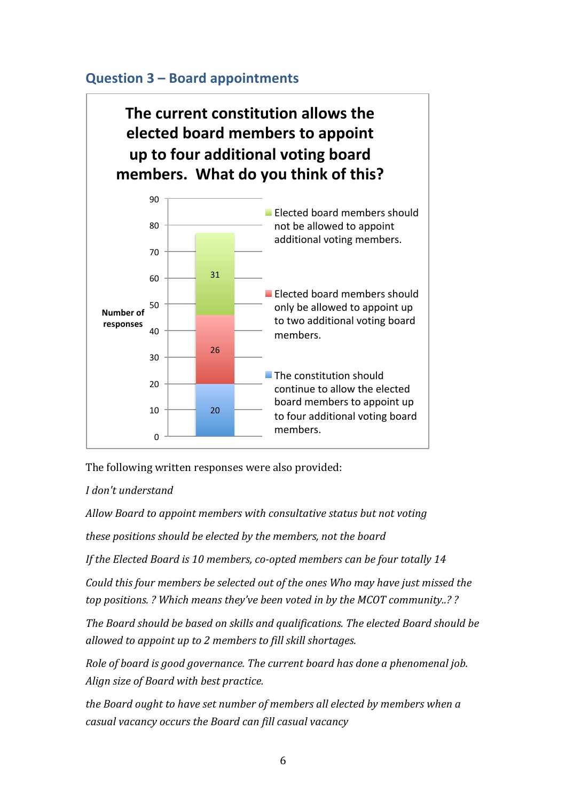### **Question 3 – Board appointments**

**The current constitution allows the elected board members to appoint**  up to four additional voting board members. What do you think of this?



The following written responses were also provided:

*I don't understand*

Allow Board to appoint members with consultative status but not voting

*these positions should be elected by the members, not the board* 

*If the Elected Board is 10 members, co-opted members can be four totally 14* 

*Could this four members be selected out of the ones Who may have just missed the* top positions. ? Which means they've been voted in by the MCOT community..??

The Board should be based on skills and qualifications. The elected Board should be *allowed to appoint up to 2 members to fill skill shortages.* 

*Role of board is good governance. The current board has done a phenomenal job.* Align size of Board with best practice.

*the Board ought to have set number of members all elected by members when a casual vacancy occurs the Board can fill casual vacancy*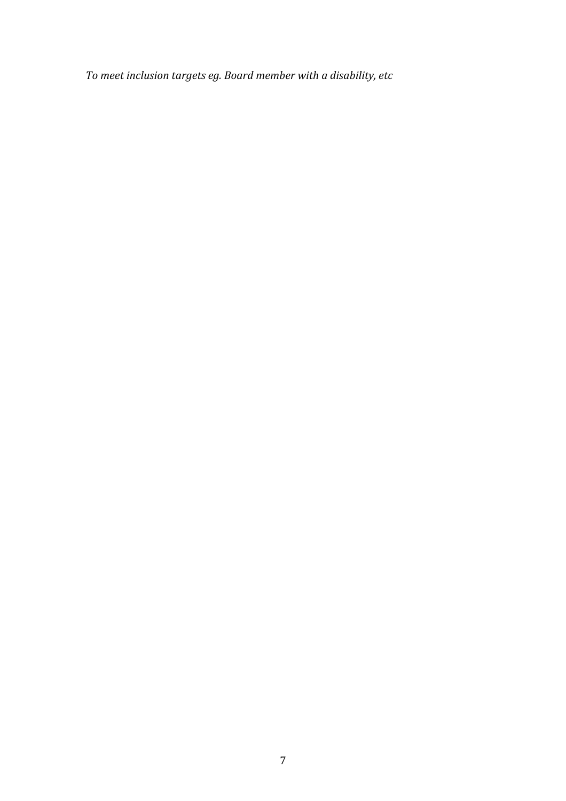To meet inclusion targets eg. Board member with a disability, etc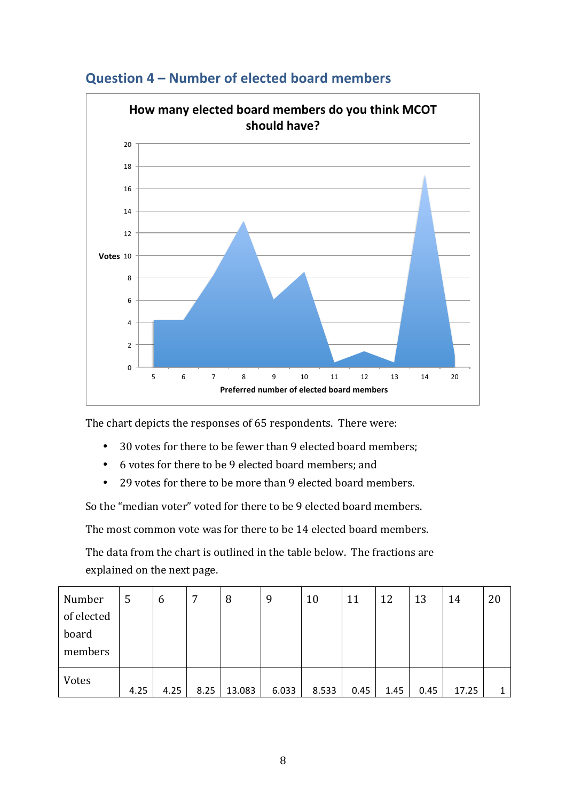

### **Question 4 – Number of elected board members**

The chart depicts the responses of 65 respondents. There were:

- 30 votes for there to be fewer than 9 elected board members;
- 6 votes for there to be 9 elected board members; and
- 29 votes for there to be more than 9 elected board members.

So the "median voter" voted for there to be 9 elected board members.

The most common vote was for there to be 14 elected board members.

The data from the chart is outlined in the table below. The fractions are explained on the next page.

| Number     | 5    | 6    | 7    | 8      | 9     | 10    | 11   | 12   | 13   | 14    | 20 |
|------------|------|------|------|--------|-------|-------|------|------|------|-------|----|
| of elected |      |      |      |        |       |       |      |      |      |       |    |
| board      |      |      |      |        |       |       |      |      |      |       |    |
| members    |      |      |      |        |       |       |      |      |      |       |    |
|            |      |      |      |        |       |       |      |      |      |       |    |
| Votes      | 4.25 | 4.25 | 8.25 | 13.083 | 6.033 | 8.533 | 0.45 | 1.45 | 0.45 | 17.25 | 1  |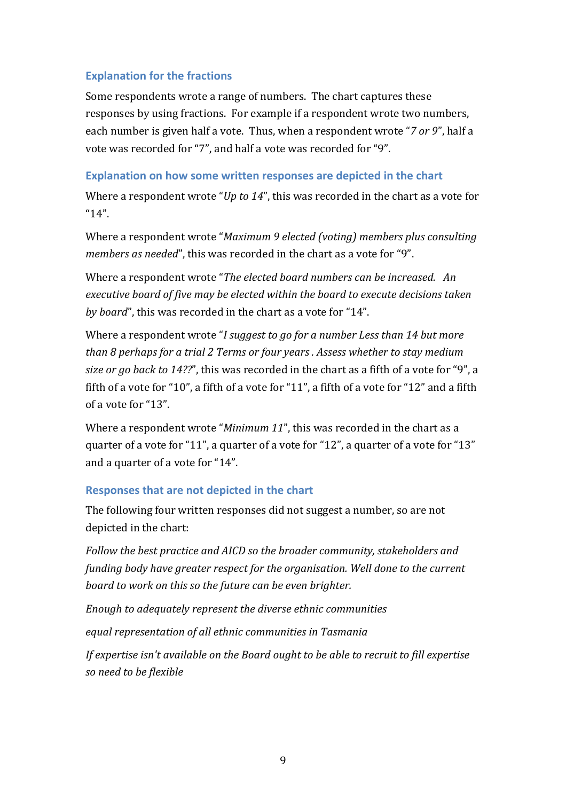### **Explanation for the fractions**

Some respondents wrote a range of numbers. The chart captures these responses by using fractions. For example if a respondent wrote two numbers, each number is given half a vote. Thus, when a respondent wrote "7 or 9", half a vote was recorded for "7", and half a vote was recorded for "9".

#### **Explanation on how some written responses are depicted in the chart**

Where a respondent wrote "*Up to 14*", this was recorded in the chart as a vote for "14".

Where a respondent wrote "*Maximum 9 elected (voting)* members plus consulting *members as needed"*, this was recorded in the chart as a vote for "9".

Where a respondent wrote "The elected board numbers can be increased. An *executive board of five may be elected within the board to execute decisions taken by board*", this was recorded in the chart as a vote for "14".

Where a respondent wrote "*I* suggest to go for a number Less than 14 but more *than* 8 *perhaps for a trial 2 Terms or four years. Assess whether to stay medium size or go back to 14??"*, this was recorded in the chart as a fifth of a vote for "9", a fifth of a vote for "10", a fifth of a vote for "11", a fifth of a vote for "12" and a fifth of a vote for "13".

Where a respondent wrote "*Minimum 11*", this was recorded in the chart as a quarter of a vote for "11", a quarter of a vote for "12", a quarter of a vote for "13" and a quarter of a vote for "14".

### **Responses that are not depicted in the chart**

The following four written responses did not suggest a number, so are not depicted in the chart:

*Follow the best practice and AICD so the broader community, stakeholders and funding body have greater respect for the organisation. Well done to the current board to work on this so the future can be even brighter.* 

*Enough to adequately represent the diverse ethnic communities* 

equal representation of all ethnic communities in Tasmania

*If* expertise isn't available on the Board ought to be able to recruit to fill expertise *so need to be flexible*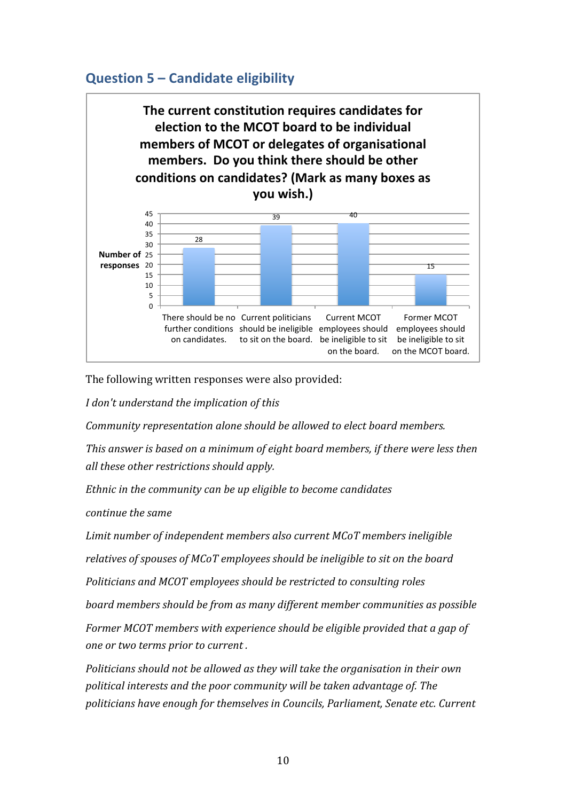## **Question 5 – Candidate eligibility**



The following written responses were also provided:

*I* don't understand the implication of this

*Community representation alone should be allowed to elect board members.* 

*This answer is based on a minimum of eight board members, if there were less then all these other restrictions should apply.*

*Ethnic in the community can be up eligible to become candidates* 

*continue the same* 

Limit number of independent members also current MCoT members ineligible

*relatives of spouses of MCoT employees should be ineligible to sit on the board* 

*Politicians and MCOT employees should be restricted to consulting roles* 

*board members should be from as many different member communities as possible* 

*Former MCOT members with experience should be eligible provided that a gap of one or two terms prior to current.* 

*Politicians should not be allowed as they will take the organisation in their own political interests and the poor community will be taken advantage of. The* politicians have enough for themselves in Councils, Parliament, Senate etc. Current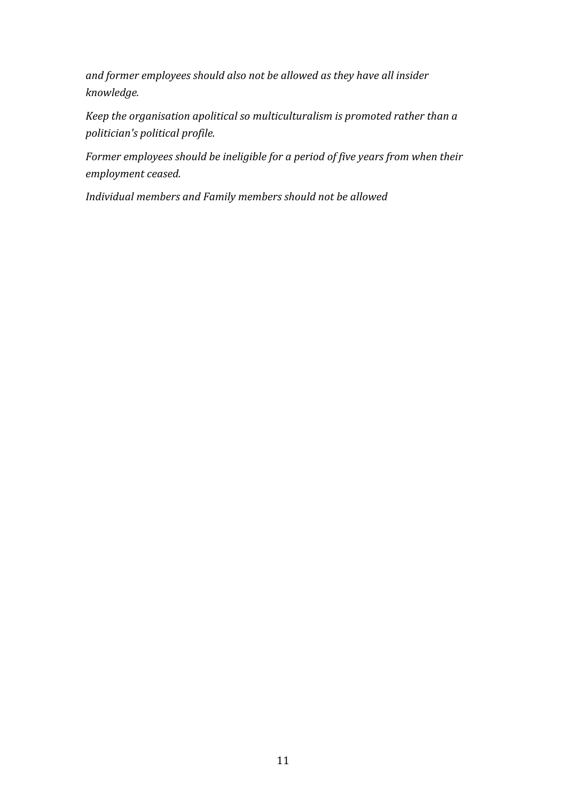and former employees should also not be allowed as they have all insider *knowledge.* 

*Keep* the organisation apolitical so multiculturalism is promoted rather than a *politician's political profile.*

Former employees should be ineligible for a period of five years from when their *employment ceased.*

Individual members and Family members should not be allowed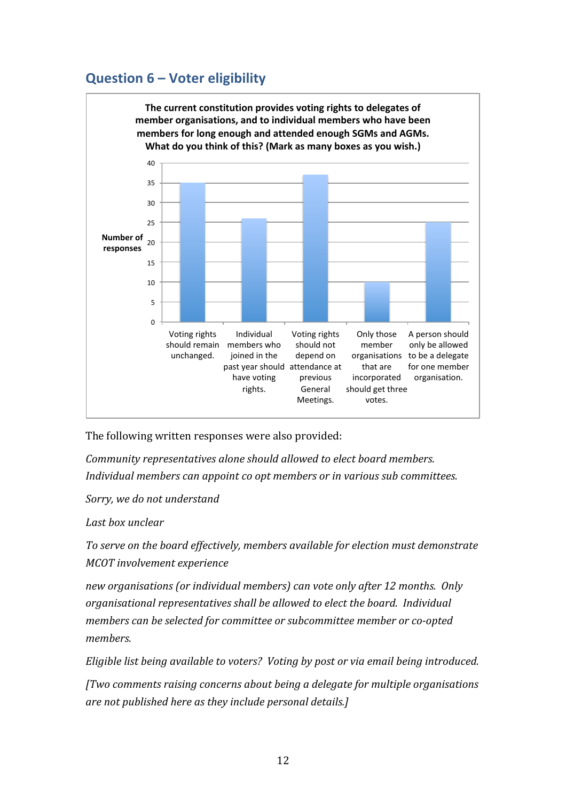## **Question 6 – Voter eligibility**



The following written responses were also provided:

*Community representatives alone should allowed to elect board members. Individual members can appoint co opt members or in various sub committees.* 

Sorry, we do not understand

Last box unclear

To serve on the board effectively, members available for election must demonstrate *MCOT* involvement experience

*new organisations* (or *individual members)* can vote only after 12 months. Only *organisational representatives shall be allowed to elect the board. Individual members can be selected for committee or subcommittee member or co-opted members.*

*Eligible list being available to voters? Voting by post or via email being introduced.* 

*[Two comments raising concerns about being a delegate for multiple organisations are not published here as they include personal details.]*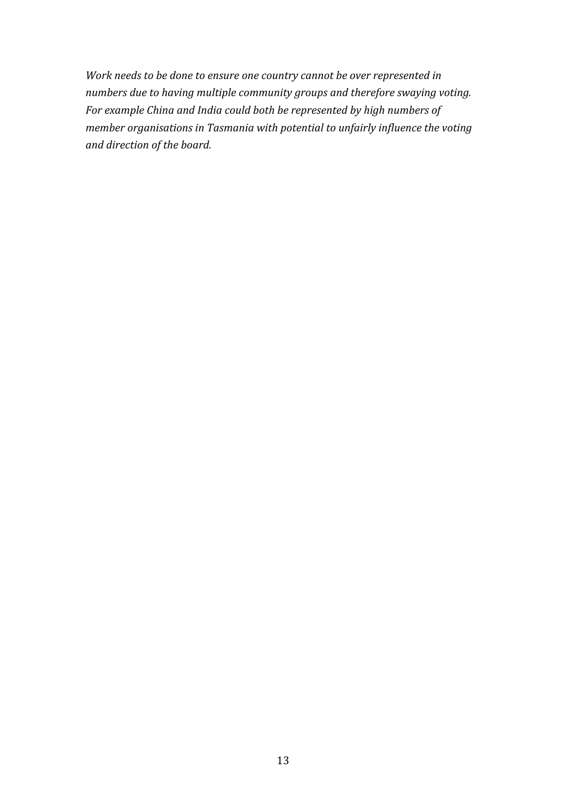*Work needs to be done to ensure one country cannot be over represented in numbers due to having multiple community groups and therefore swaying voting.* For example China and India could both be represented by high numbers of *member organisations in Tasmania with potential to unfairly influence the voting and direction of the board.*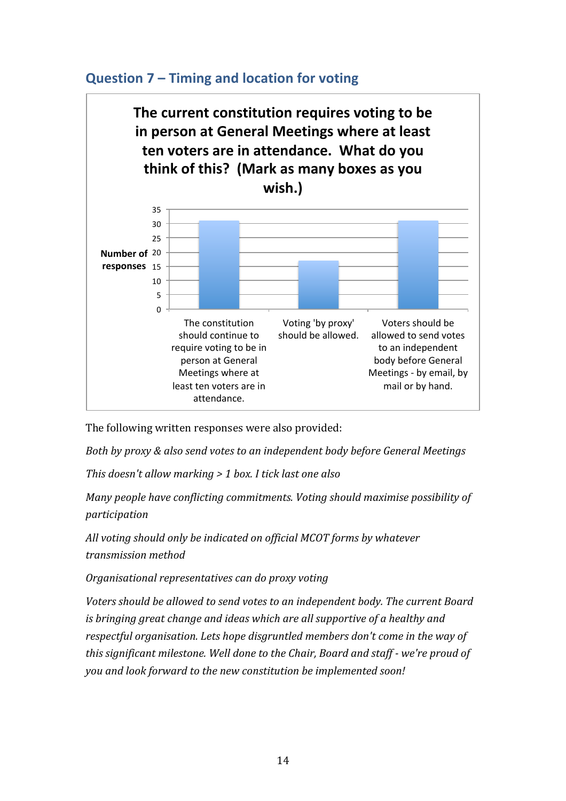

# **Question 7 – Timing and location for voting**

The following written responses were also provided:

*Both by proxy & also send votes to an independent body before General Meetings* 

*This doesn't allow marking > 1 box. I tick last one also* 

*Many people have conflicting commitments. Voting should maximise possibility of participation* 

All voting should only be indicated on official MCOT forms by whatever *transmission method*

*Organisational representatives can do proxy voting*

*Voters* should be allowed to send votes to an independent body. The current Board *is bringing great change and ideas which are all supportive of a healthy and respectful organisation. Lets hope disgruntled members don't come in the way of this significant milestone. Well done to the Chair, Board and staff - we're proud of* you and look forward to the new constitution be implemented soon!